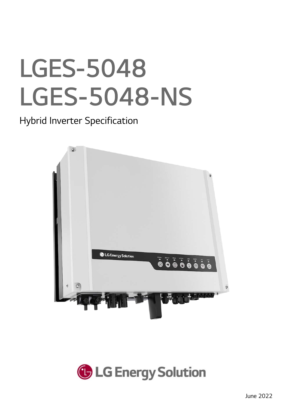## LGES-5048 LGES-5048-NS

Hybrid Inverter Specification



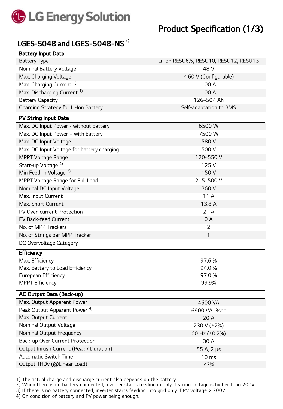

## LGES-5048 and LGES-5048-NS  $^{7)}$

| <b>Battery Input Data</b>                  |                                        |
|--------------------------------------------|----------------------------------------|
| <b>Battery Type</b>                        | Li-Ion RESU6.5, RESU10, RESU12, RESU13 |
| Nominal Battery Voltage                    | 48 V                                   |
| Max. Charging Voltage                      | $\leq 60$ V (Configurable)             |
| Max. Charging Current <sup>1)</sup>        | 100 A                                  |
| Max. Discharging Current <sup>1)</sup>     | 100 A                                  |
| <b>Battery Capacity</b>                    | 126~504 Ah                             |
| Charging Strategy for Li-Ion Battery       | Self-adaptation to BMS                 |
| PV String Input Data                       |                                        |
| Max. DC Input Power - without battery      | 6500W                                  |
| Max. DC Input Power - with battery         | 7500W                                  |
| Max. DC Input Voltage                      | 580V                                   |
| Max. DC Input Voltage for battery charging | 500 V                                  |
| <b>MPPT Voltage Range</b>                  | 120~550V                               |
| Start-up Voltage <sup>2)</sup>             | 125V                                   |
| Min Feed-in Voltage 3)                     | 150V                                   |
| MPPT Voltage Range for Full Load           | 215~500 V                              |
| Nominal DC Input Voltage                   | 360 V                                  |
| Max. Input Current                         | 11 A                                   |
| Max. Short Current                         | 13.8 A                                 |
| PV Over-current Protection                 | 21 A                                   |
| PV Back-feed Current                       | 0A                                     |
| No. of MPP Trackers                        | $\overline{2}$                         |
| No. of Strings per MPP Tracker             | 1                                      |
| DC Overvoltage Category                    | $\mathsf{I}$                           |
| <b>Efficiency</b>                          |                                        |
| Max. Efficiency                            | 97.6 %                                 |
| Max. Battery to Load Efficiency            | 94.0%                                  |
| European Efficiency                        | 97.0%                                  |
| <b>MPPT Efficiency</b>                     | 99.9%                                  |
| <b>AC Output Data (Back-up)</b>            |                                        |
| Max. Output Apparent Power                 | 4600 VA                                |
| Peak Output Apparent Power <sup>4)</sup>   | 6900 VA, 3sec                          |
| Max. Output Current                        | 20 A                                   |
| Nominal Output Voltage                     | 230 V (±2%)                            |
| Nominal Output Frequency                   | 60 Hz (±0.2%)                          |
| Back-up Over Current Protection            | 30 A                                   |
| Output Inrush Current (Peak / Duration)    | 55 A, 2 µs                             |
| <b>Automatic Switch Time</b>               | 10 <sub>ms</sub>                       |
| Output THDv (@Linear Load)                 | $< 3\%$                                |
|                                            |                                        |

1) The actual charge and discharge current also depends on the battery.-

2) When there is no battery connected, inverter starts feeding in only if string voltage is higher than 200V.

3) If there is no battery connected, inverter starts feeding into grid only if PV voltage > 200V.

4) On condition of battery and PV power being enough.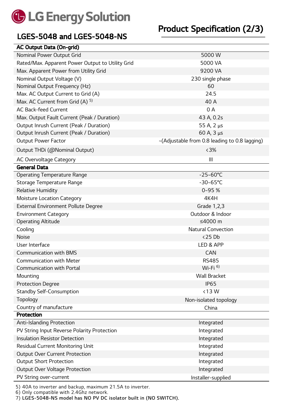

## LGES-5048 and LGES-5048-NS

| <b>AC Output Data (On-grid)</b>                  |                                               |
|--------------------------------------------------|-----------------------------------------------|
| Nominal Power Output Grid                        | 5000 W                                        |
| Rated/Max. Apparent Power Output to Utility Grid | 5000 VA                                       |
| Max. Apparent Power from Utility Grid            | 9200 VA                                       |
| Nominal Output Voltage (V)                       | 230 single phase                              |
| Nominal Output Frequency (Hz)                    | 60                                            |
| Max. AC Output Current to Grid (A)               | 24.5                                          |
| Max. AC Current from Grid (A) <sup>5)</sup>      | 40 A                                          |
| <b>AC Back-feed Current</b>                      | 0A                                            |
| Max. Output Fault Current (Peak / Duration)      | 43 A, 0.2s                                    |
| Output Inrush Current (Peak / Duration)          | 55 A, 2 µs                                    |
| Output Inrush Current (Peak / Duration)          | 60 A, $3 \mu s$                               |
| <b>Output Power Factor</b>                       | ~(Adjustable from 0.8 leading to 0.8 lagging) |
| Output THDi (@Nominal Output)                    | $<3\%$                                        |
| <b>AC Overvoltage Category</b>                   | $\mathbf{III}$                                |
| <b>General Data</b>                              |                                               |
| <b>Operating Temperature Range</b>               | $-25 - 60^{\circ}C$                           |
| Storage Temperature Range                        | $-30 - 65^{\circ}C$                           |
| <b>Relative Humidity</b>                         | $0 - 95%$                                     |
| <b>Moisture Location Category</b>                | 4K4H                                          |
| <b>External Environment Pollute Degree</b>       | Grade 1,2,3                                   |
| <b>Environment Category</b>                      | Outdoor & Indoor                              |
| <b>Operating Altitude</b>                        | ≤4000 $m$                                     |
| Cooling                                          | <b>Natural Convection</b>                     |
| <b>Noise</b>                                     | <25 Db                                        |
| User Interface                                   | LED & APP                                     |
| <b>Communication with BMS</b>                    | <b>CAN</b>                                    |
| <b>Communication with Meter</b>                  | <b>RS485</b>                                  |
| Communication with Portal                        | Wi-Fi $6$                                     |
| Mounting                                         | <b>Wall Bracket</b>                           |
| <b>Protection Degree</b>                         | <b>IP65</b>                                   |
| <b>Standby Self-Consumption</b>                  | $<$ 13 W                                      |
| Topology                                         | Non-isolated topology                         |
| Country of manufacture                           | China                                         |
| Protection                                       |                                               |
| <b>Anti-Islanding Protection</b>                 | Integrated                                    |
| PV String Input Reverse Polarity Protection      | Integrated                                    |
| <b>Insulation Resistor Detection</b>             | Integrated                                    |
| Residual Current Monitoring Unit                 | Integrated                                    |
| <b>Output Over Current Protection</b>            | Integrated                                    |
| <b>Output Short Protection</b>                   | Integrated                                    |
| Output Over Voltage Protection                   | Integrated                                    |
| PV String over-current                           | Installer-supplied                            |

5) 40A to inverter and backup, maximum 21.5A to inverter.

6) Only compatible with 2.4Ghz network.

7) LGES-5048-NS model has NO PV DC isolator built in (NO SWITCH).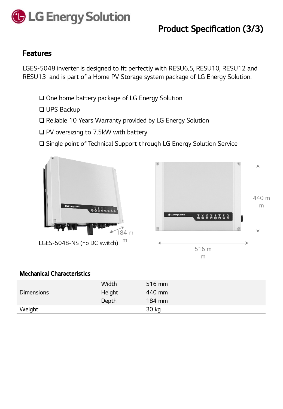

## Features

LGES-5048 inverter is designed to fit perfectly with RESU6.5, RESU10, RESU12 and RESU13 and is part of a Home PV Storage system package of LG Energy Solution.

- □ One home battery package of LG Energy Solution
- □ UPS Backup
- □ Reliable 10 Years Warranty provided by LG Energy Solution
- $\Box$  PV oversizing to 7.5kW with battery
- □ Single point of Technical Support through LG Energy Solution Service



| <b>Mechanical Characteristics</b> |        |        |
|-----------------------------------|--------|--------|
|                                   | Width  | 516 mm |
| <b>Dimensions</b>                 | Height | 440 mm |
|                                   | Depth  | 184 mm |
| Weight                            |        | 30 kg  |
|                                   |        |        |